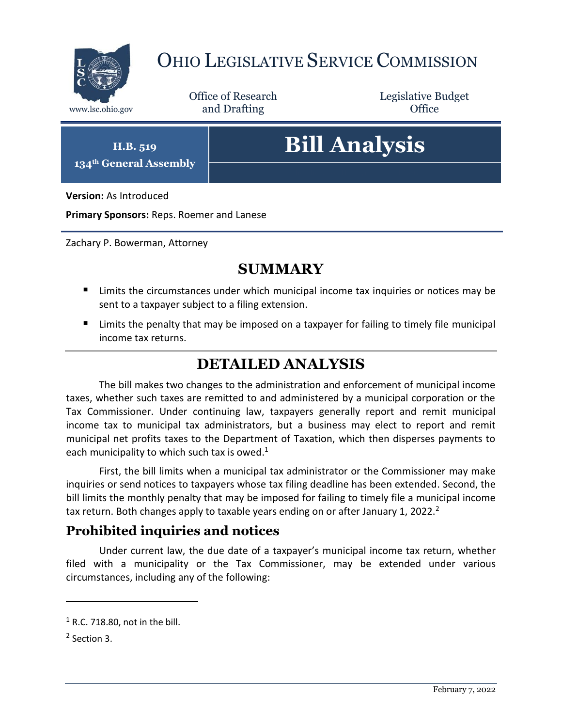

# OHIO LEGISLATIVE SERVICE COMMISSION

Office of Research www.lsc.ohio.gov **and Drafting Office** 

Legislative Budget

**H.B. 519 134th General Assembly**

# **Bill Analysis**

**Version:** As Introduced

**Primary Sponsors:** Reps. Roemer and Lanese

Zachary P. Bowerman, Attorney

## **SUMMARY**

- **E** Limits the circumstances under which municipal income tax inquiries or notices may be sent to a taxpayer subject to a filing extension.
- Limits the penalty that may be imposed on a taxpayer for failing to timely file municipal income tax returns.

### **DETAILED ANALYSIS**

The bill makes two changes to the administration and enforcement of municipal income taxes, whether such taxes are remitted to and administered by a municipal corporation or the Tax Commissioner. Under continuing law, taxpayers generally report and remit municipal income tax to municipal tax administrators, but a business may elect to report and remit municipal net profits taxes to the Department of Taxation, which then disperses payments to each municipality to which such tax is owed.<sup>1</sup>

First, the bill limits when a municipal tax administrator or the Commissioner may make inquiries or send notices to taxpayers whose tax filing deadline has been extended. Second, the bill limits the monthly penalty that may be imposed for failing to timely file a municipal income tax return. Both changes apply to taxable years ending on or after January 1, 2022.<sup>2</sup>

#### **Prohibited inquiries and notices**

Under current law, the due date of a taxpayer's municipal income tax return, whether filed with a municipality or the Tax Commissioner, may be extended under various circumstances, including any of the following:

 $\overline{a}$ 

 $1$  R.C. 718.80, not in the bill.

<sup>&</sup>lt;sup>2</sup> Section 3.